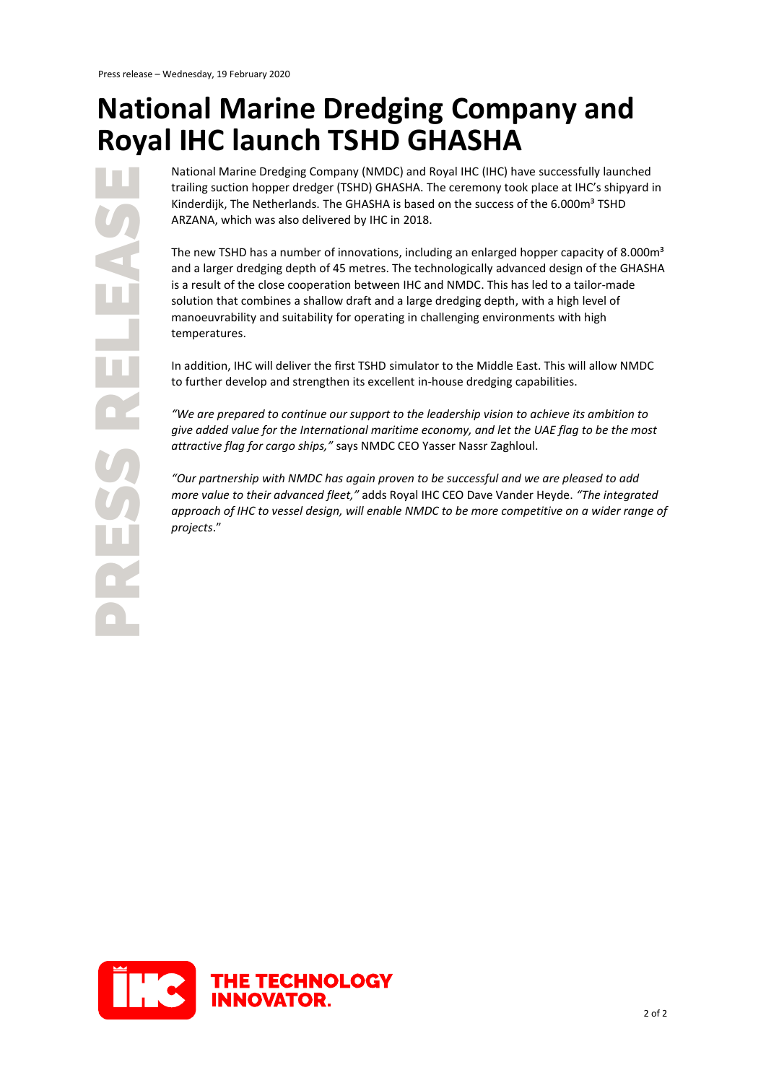## **National Marine Dredging Company and Royal IHC launch TSHD GHASHA**

National Marine Dredging Company (NMDC) and Royal IHC (IHC) have successfully launched trailing suction hopper dredger (TSHD) GHASHA. The ceremony took place at IHC's shipyard in Kinderdijk, The Netherlands. The GHASHA is based on the success of the 6.000m<sup>3</sup> TSHD ARZANA, which was also delivered by IHC in 2018.

The new TSHD has a number of innovations, including an enlarged hopper capacity of 8.000 $m<sup>3</sup>$ and a larger dredging depth of 45 metres. The technologically advanced design of the GHASHA is a result of the close cooperation between IHC and NMDC. This has led to a tailor-made solution that combines a shallow draft and a large dredging depth, with a high level of manoeuvrability and suitability for operating in challenging environments with high temperatures.

In addition, IHC will deliver the first TSHD simulator to the Middle East. This will allow NMDC to further develop and strengthen its excellent in-house dredging capabilities.

*"We are prepared to continue our support to the leadership vision to achieve its ambition to give added value for the International maritime economy, and let the UAE flag to be the most attractive flag for cargo ships,"* says NMDC CEO Yasser Nassr Zaghloul.

*"Our partnership with NMDC has again proven to be successful and we are pleased to add more value to their advanced fleet,"* adds Royal IHC CEO Dave Vander Heyde. *"The integrated approach of IHC to vessel design, will enable NMDC to be more competitive on a wider range of projects*."